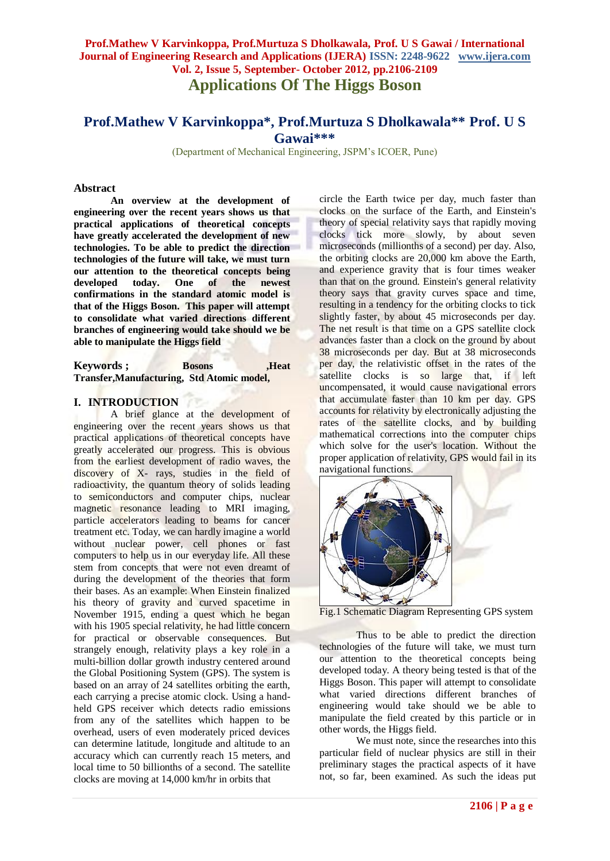# **Prof.Mathew V Karvinkoppa, Prof.Murtuza S Dholkawala, Prof. U S Gawai / International Journal of Engineering Research and Applications (IJERA) ISSN: 2248-9622 www.ijera.com Vol. 2, Issue 5, September- October 2012, pp.2106-2109 Applications Of The Higgs Boson**

# **Prof.Mathew V Karvinkoppa\*, Prof.Murtuza S Dholkawala\*\* Prof. U S Gawai\*\*\***

(Department of Mechanical Engineering, JSPM's ICOER, Pune)

### **Abstract**

**An overview at the development of engineering over the recent years shows us that practical applications of theoretical concepts have greatly accelerated the development of new technologies. To be able to predict the direction technologies of the future will take, we must turn our attention to the theoretical concepts being developed today. One of the newest confirmations in the standard atomic model is that of the Higgs Boson. This paper will attempt to consolidate what varied directions different branches of engineering would take should we be able to manipulate the Higgs field**

**Keywords ; Bosons** ,Heat **Transfer,Manufacturing, Std Atomic model,**

### **I. INTRODUCTION**

A brief glance at the development of engineering over the recent years shows us that practical applications of theoretical concepts have greatly accelerated our progress. This is obvious from the earliest development of radio waves, the discovery of X- rays, studies in the field of radioactivity, the quantum theory of solids leading to semiconductors and computer chips, nuclear magnetic resonance leading to MRI imaging, particle accelerators leading to beams for cancer treatment etc. Today, we can hardly imagine a world without nuclear power, cell phones or fast computers to help us in our everyday life. All these stem from concepts that were not even dreamt of during the development of the theories that form their bases. As an example: When Einstein finalized his theory of gravity and curved spacetime in November 1915, ending a quest which he began with his 1905 special relativity, he had little concern for practical or observable consequences. But strangely enough, relativity plays a key role in a multi-billion dollar growth industry centered around the Global Positioning System (GPS). The system is based on an array of 24 satellites orbiting the earth, each carrying a precise atomic clock. Using a handheld GPS receiver which detects radio emissions from any of the satellites which happen to be overhead, users of even moderately priced devices can determine latitude, longitude and altitude to an accuracy which can currently reach 15 meters, and local time to 50 billionths of a second. The satellite clocks are moving at 14,000 km/hr in orbits that

circle the Earth twice per day, much faster than clocks on the surface of the Earth, and Einstein's theory of special relativity says that rapidly moving clocks tick more slowly, by about seven microseconds (millionths of a second) per day. Also, the orbiting clocks are 20,000 km above the Earth, and experience gravity that is four times weaker than that on the ground. Einstein's general relativity theory says that gravity curves space and time, resulting in a tendency for the orbiting clocks to tick slightly faster, by about 45 microseconds per day. The net result is that time on a GPS satellite clock advances faster than a clock on the ground by about 38 microseconds per day. But at 38 microseconds per day, the relativistic offset in the rates of the satellite clocks is so large that, if left uncompensated, it would cause navigational errors that accumulate faster than 10 km per day. GPS accounts for relativity by electronically adjusting the rates of the satellite clocks, and by building mathematical corrections into the computer chips which solve for the user's location. Without the proper application of relativity, GPS would fail in its navigational functions.



Fig.1 Schematic Diagram Representing GPS system

Thus to be able to predict the direction technologies of the future will take, we must turn our attention to the theoretical concepts being developed today. A theory being tested is that of the Higgs Boson. This paper will attempt to consolidate what varied directions different branches of engineering would take should we be able to manipulate the field created by this particle or in other words, the Higgs field.

We must note, since the researches into this particular field of nuclear physics are still in their preliminary stages the practical aspects of it have not, so far, been examined. As such the ideas put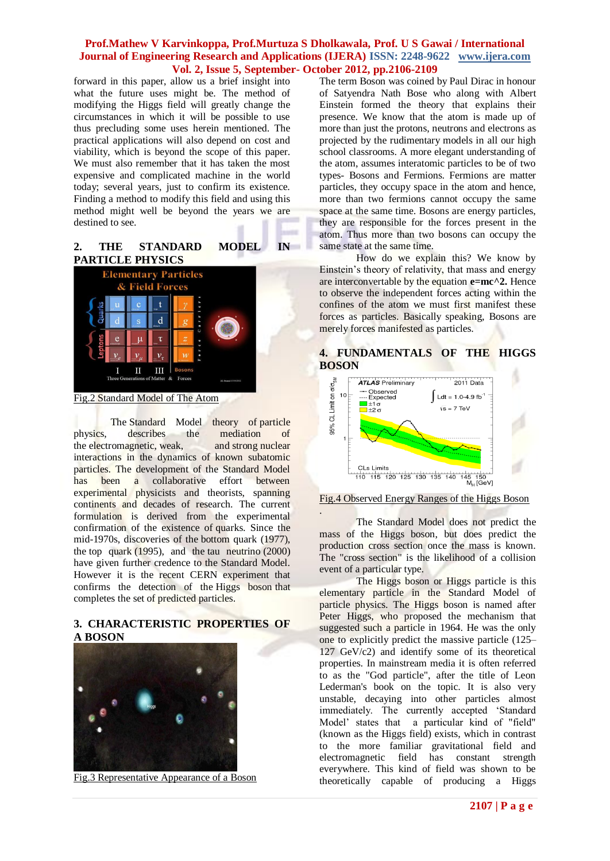### **Prof.Mathew V Karvinkoppa, Prof.Murtuza S Dholkawala, Prof. U S Gawai / International Journal of Engineering Research and Applications (IJERA) ISSN: 2248-9622 www.ijera.com Vol. 2, Issue 5, September- October 2012, pp.2106-2109**

forward in this paper, allow us a brief insight into what the future uses might be. The method of modifying the Higgs field will greatly change the circumstances in which it will be possible to use thus precluding some uses herein mentioned. The practical applications will also depend on cost and viability, which is beyond the scope of this paper. We must also remember that it has taken the most expensive and complicated machine in the world today; several years, just to confirm its existence. Finding a method to modify this field and using this method might well be beyond the years we are destined to see.

### **2. THE STANDARD MODEL IN PARTICLE PHYSICS**



Fig.2 Standard Model of The Atom

The Standard Model theory of particle physics, describes the mediation of the electromagnetic, weak, and strong nuclear interactions in the dynamics of known subatomic particles. The development of the Standard Model has been a collaborative effort between experimental physicists and theorists, spanning continents and decades of research. The current formulation is derived from the experimental confirmation of the existence of quarks. Since the mid-1970s, discoveries of the bottom quark (1977), the top quark (1995), and the tau neutrino (2000) have given further credence to the Standard Model. However it is the recent CERN experiment that confirms the detection of the Higgs boson that completes the set of predicted particles.

### **3. CHARACTERISTIC PROPERTIES OF A BOSON**



Fig.3 Representative Appearance of a Boson

The term Boson was coined by Paul Dirac in honour of Satyendra Nath Bose who along with Albert Einstein formed the theory that explains their presence. We know that the atom is made up of more than just the protons, neutrons and electrons as projected by the rudimentary models in all our high school classrooms. A more elegant understanding of the atom, assumes interatomic particles to be of two types- Bosons and Fermions. Fermions are matter particles, they occupy space in the atom and hence, more than two fermions cannot occupy the same space at the same time. Bosons are energy particles, they are responsible for the forces present in the atom. Thus more than two bosons can occupy the same state at the same time.

How do we explain this? We know by Einstein's theory of relativity, that mass and energy are interconvertable by the equation **e=mc^2.** Hence to observe the independent forces acting within the confines of the atom we must first manifest these forces as particles. Basically speaking, Bosons are merely forces manifested as particles.

### **4. FUNDAMENTALS OF THE HIGGS BOSON**



#### Fig.4 Observed Energy Ranges of the Higgs Boson

. The Standard Model does not predict the mass of the Higgs boson, but does predict the production cross section once the mass is known. The "cross section" is the likelihood of a collision event of a particular type.

The Higgs boson or Higgs particle is this elementary particle in the Standard Model of particle physics. The Higgs boson is named after Peter Higgs, who proposed the mechanism that suggested such a particle in 1964. He was the only one to explicitly predict the massive particle (125– 127 GeV/c2) and identify some of its theoretical properties. In mainstream media it is often referred to as the "God particle", after the title of Leon Lederman's book on the topic. It is also very unstable, decaying into other particles almost immediately. The currently accepted 'Standard Model' states that a particular kind of "field" (known as the Higgs field) exists, which in contrast to the more familiar gravitational field and electromagnetic field has constant strength everywhere. This kind of field was shown to be theoretically capable of producing a Higgs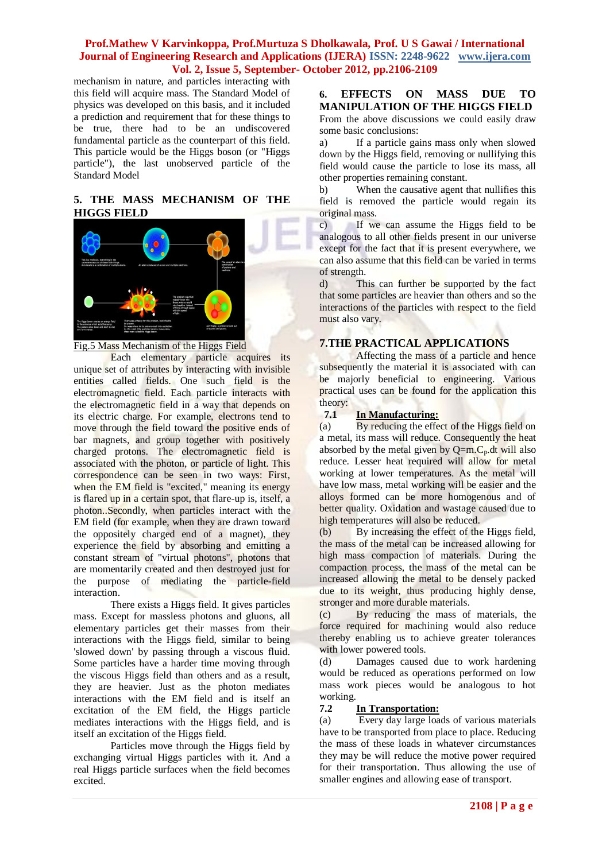### **Prof.Mathew V Karvinkoppa, Prof.Murtuza S Dholkawala, Prof. U S Gawai / International Journal of Engineering Research and Applications (IJERA) ISSN: 2248-9622 www.ijera.com Vol. 2, Issue 5, September- October 2012, pp.2106-2109**

mechanism in nature, and particles interacting with this field will acquire mass. The Standard Model of physics was developed on this basis, and it included a prediction and requirement that for these things to be true, there had to be an undiscovered fundamental particle as the counterpart of this field. This particle would be the Higgs boson (or "Higgs particle"), the last unobserved particle of the Standard Model

### **5. THE MASS MECHANISM OF THE HIGGS FIELD**



### Fig.5 Mass Mechanism of the Higgs Field

Each elementary particle acquires its unique set of attributes by interacting with invisible entities called fields. One such field is the electromagnetic field. Each particle interacts with the electromagnetic field in a way that depends on its electric charge. For example, electrons tend to move through the field toward the positive ends of bar magnets, and group together with positively charged protons. The electromagnetic field is associated with the photon, or particle of light. This correspondence can be seen in two ways: First, when the EM field is "excited," meaning its energy is flared up in a certain spot, that flare-up is, itself, a photon..Secondly, when particles interact with the EM field (for example, when they are drawn toward the oppositely charged end of a magnet), they experience the field by absorbing and emitting a constant stream of "virtual photons", photons that are momentarily created and then destroyed just for the purpose of mediating the particle-field interaction.

There exists a Higgs field. It gives particles mass. Except for massless photons and gluons, all elementary particles get their masses from their interactions with the Higgs field, similar to being 'slowed down' by passing through a viscous fluid. Some particles have a harder time moving through the viscous Higgs field than others and as a result, they are heavier. Just as the photon mediates interactions with the EM field and is itself an excitation of the EM field, the Higgs particle mediates interactions with the Higgs field, and is itself an excitation of the Higgs field.

Particles move through the Higgs field by exchanging virtual Higgs particles with it. And a real Higgs particle surfaces when the field becomes excited.

**6. EFFECTS ON MASS DUE TO MANIPULATION OF THE HIGGS FIELD** From the above discussions we could easily draw some basic conclusions:

a) If a particle gains mass only when slowed down by the Higgs field, removing or nullifying this field would cause the particle to lose its mass, all other properties remaining constant.

b) When the causative agent that nullifies this field is removed the particle would regain its original mass.

c) If we can assume the Higgs field to be analogous to all other fields present in our universe except for the fact that it is present everywhere, we can also assume that this field can be varied in terms of strength.

d) This can further be supported by the fact that some particles are heavier than others and so the interactions of the particles with respect to the field must also vary.

## **7.THE PRACTICAL APPLICATIONS**

Affecting the mass of a particle and hence subsequently the material it is associated with can be majorly beneficial to engineering. Various practical uses can be found for the application this theory:

## **7.1 In Manufacturing:**

(a) By reducing the effect of the Higgs field on a metal, its mass will reduce. Consequently the heat absorbed by the metal given by  $Q=m.C_p$ .dt will also reduce. Lesser heat required will allow for metal working at lower temperatures. As the metal will have low mass, metal working will be easier and the alloys formed can be more homogenous and of better quality. Oxidation and wastage caused due to high temperatures will also be reduced.<br>(b) By increasing the effect of the

By increasing the effect of the Higgs field, the mass of the metal can be increased allowing for high mass compaction of materials. During the compaction process, the mass of the metal can be increased allowing the metal to be densely packed due to its weight, thus producing highly dense, stronger and more durable materials.

(c) By reducing the mass of materials, the force required for machining would also reduce thereby enabling us to achieve greater tolerances with lower powered tools.

(d) Damages caused due to work hardening would be reduced as operations performed on low mass work pieces would be analogous to hot working.

### **7.2 In Transportation:**

(a) Every day large loads of various materials have to be transported from place to place. Reducing the mass of these loads in whatever circumstances they may be will reduce the motive power required for their transportation. Thus allowing the use of smaller engines and allowing ease of transport.